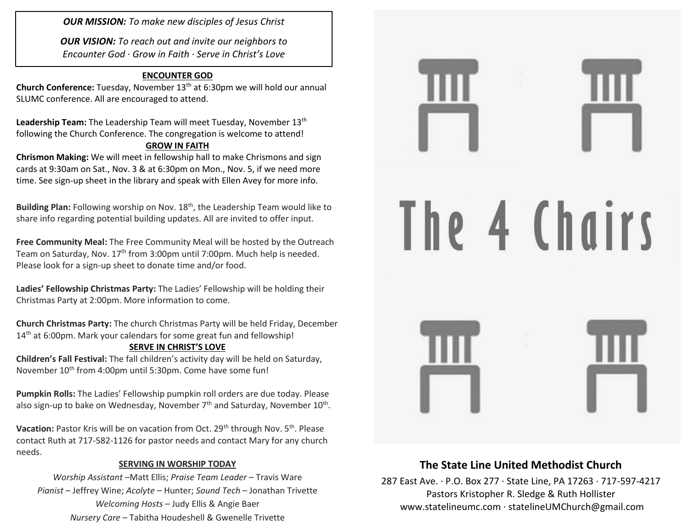*OUR MISSION: To make new disciples of Jesus Christ*

*OUR VISION: To reach out and invite our neighbors to Encounter God · Grow in Faith · Serve in Christ's Love*

### **ENCOUNTER GOD**

**Church Conference:** Tuesday, November 13th at 6:30pm we will hold our annual SLUMC conference. All are encouraged to attend.

Leadership Team: The Leadership Team will meet Tuesday, November 13<sup>th</sup> following the Church Conference. The congregation is welcome to attend! **GROW IN FAITH**

**Chrismon Making:** We will meet in fellowship hall to make Chrismons and sign cards at 9:30am on Sat., Nov. 3 & at 6:30pm on Mon., Nov. 5, if we need more time. See sign-up sheet in the library and speak with Ellen Avey for more info.

Building Plan: Following worship on Nov. 18<sup>th</sup>, the Leadership Team would like to share info regarding potential building updates. All are invited to offer input.

**Free Community Meal:** The Free Community Meal will be hosted by the Outreach Team on Saturday, Nov. 17<sup>th</sup> from 3:00pm until 7:00pm. Much help is needed. Please look for a sign-up sheet to donate time and/or food.

**Ladies' Fellowship Christmas Party:** The Ladies' Fellowship will be holding their Christmas Party at 2:00pm. More information to come.

**Church Christmas Party:** The church Christmas Party will be held Friday, December 14<sup>th</sup> at 6:00pm. Mark your calendars for some great fun and fellowship!

### **SERVE IN CHRIST'S LOVE**

**Children's Fall Festival:** The fall children's activity day will be held on Saturday, November 10<sup>th</sup> from 4:00pm until 5:30pm. Come have some fun!

**Pumpkin Rolls:** The Ladies' Fellowship pumpkin roll orders are due today. Please also sign-up to bake on Wednesday, November 7<sup>th</sup> and Saturday, November 10<sup>th</sup>.

**Vacation:** Pastor Kris will be on vacation from Oct. 29<sup>th</sup> through Nov. 5<sup>th</sup>. Please contact Ruth at 717-582-1126 for pastor needs and contact Mary for any church needs.

### **SERVING IN WORSHIP TODAY**

*Worship Assistant* –Matt Ellis; *Praise Team Leader* – Travis Ware *Pianist* – Jeffrey Wine; *Acolyte* – Hunter; *Sound Tech* – Jonathan Trivette *Welcoming Hosts* – Judy Ellis & Angie Baer *Nursery Care* – Tabitha Houdeshell & Gwenelle Trivette



# **The State Line United Methodist Church**

287 East Ave. · P.O. Box 277 · State Line, PA 17263 · 717-597-4217 Pastors Kristopher R. Sledge & Ruth Hollister [www.statelineumc.com](http://www.statelineumc.com/) · statelineUMChurch@gmail.com